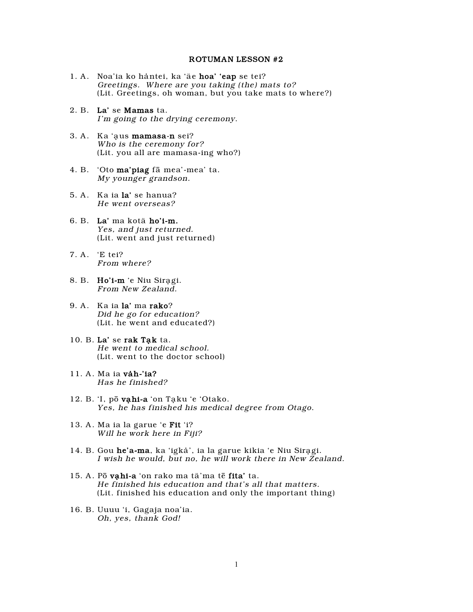## ROTUMAN LESSON #2

- 1. A. Noa'ia ko håntei, ka 'äe hoa' 'eap se tei? Greetings. Where are you taking (the) mats to? (Lit. Greetings, oh woman, but you take mats to where?)
- 2. B. La' se Mamas ta. I'm going to the drying ceremony.
- 3. A. Ka 'aus mamasa-n sei? Who is the ceremony for? (Lit. you all are mamasa-ing who?)
- 4. B. 'Oto ma'piag fâ mea'-mea' ta. My younger grandson.
- 5. A. Ka ia la' se hanua? He went overseas?
- 6. B. La' ma kotä ho'i-m. Yes, and just returned. (Lit. went and just returned)
- 7. A. 'E tei? From where?
- 8. B. Ho'i-m 'e Niu Siragi. From New Zealand.
- 9. A. Ka ia la' ma rako? Did he go for education? (Lit. he went and educated?)
- 10. B. La' se rak Tạk ta. He went to medical school. (Lit. went to the doctor school)
- 11. A. Ma ia våh-'ia? Has he finished?
- 12. B. 'I, pō vạhi-a 'on Tạku 'e 'Otako. Yes, he has finished his medical degree from Otago.
- 13. A. Ma ia la garue 'e Fit 'i? Will he work here in Fiji?
- 14. B. Gou he'a-ma, ka 'igkà', ia la garue kikia 'e Niu Siragi. I wish he would, but no, he will work there in New Zealand.
- 15. A. Pō vahi-a 'on rako ma tä'ma tē fita' ta. He finished his education and that's all that matters. (Lit. finished his education and only the important thing)
- 16. B. Uuuu 'i, Gagaja noa'ia. Oh, yes, thank God!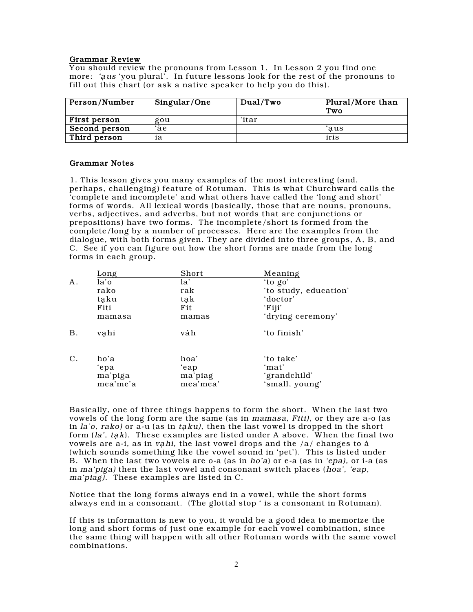## Grammar Review

You should review the pronouns from Lesson 1. In Lesson 2 you find one more: 'aus 'you plural'. In future lessons look for the rest of the pronouns to fill out this chart (or ask a native speaker to help you do this).

| Person/Number       | Singular/One | Dual/Two | Plural/More than<br>Two |
|---------------------|--------------|----------|-------------------------|
| <b>First person</b> | gou          | ʻitar    |                         |
| Second person       | ʻäe          |          | aus:                    |
| Third person        | ia           |          | iris                    |

## Grammar Notes

1. This lesson gives you many examples of the most interesting (and, perhaps, challenging) feature of Rotuman. This is what Churchward calls the 'complete and incomplete' and what others have called the 'long and short' forms of words. All lexical words (basically, those that are nouns, pronouns, verbs, adjectives, and adverbs, but not words that are conjunctions or prepositions) have two forms. The incomplete/short is formed from the complete/long by a number of processes. Here are the examples from the dialogue, with both forms given. They are divided into three groups, A, B, and C. See if you can figure out how the short forms are made from the long forms in each group.

|                 | Long                                | Short                               | Meaning                                              |
|-----------------|-------------------------------------|-------------------------------------|------------------------------------------------------|
| A.              | la'o                                | la'                                 | 'to go'                                              |
|                 | rako                                | rak                                 | 'to study, education'                                |
|                 | taku                                | tak                                 | 'doctor'                                             |
|                 | Fiti                                | Fit                                 | 'Fiji'                                               |
|                 | mamasa                              | mamas                               | 'drying ceremony'                                    |
| <b>B.</b>       | vahi                                | våh                                 | 'to finish'                                          |
| $\mathcal{C}$ . | ho'a<br>'epa<br>ma'piga<br>mea'me'a | hoa'<br>'eap<br>ma'piag<br>mea'mea' | 'to take'<br>ʻmat'<br>'grandchild'<br>'small, young' |

Basically, one of three things happens to form the short. When the last two vowels of the long form are the same (as in mamasa, Fiti), or they are a-o (as in  $la'$  *io*, rako) or a-u (as in taku), then the last vowel is dropped in the short form  $(la', tak)$ . These examples are listed under A above. When the final two vowels are a-i, as in vahi, the last vowel drops and the  $/a/$  changes to a (which sounds something like the vowel sound in 'pet'). This is listed under B. When the last two vowels are o-a (as in ho'a) or e-a (as in 'epa), or i-a (as in ma'piga) then the last vowel and consonant switch places (hoa', 'eap, ma'piag). These examples are listed in C.

Notice that the long forms always end in a vowel, while the short forms always end in a consonant. (The glottal stop ' is a consonant in Rotuman).

If this is information is new to you, it would be a good idea to memorize the long and short forms of just one example for each vowel combination, since the same thing will happen with all other Rotuman words with the same vowel combinations.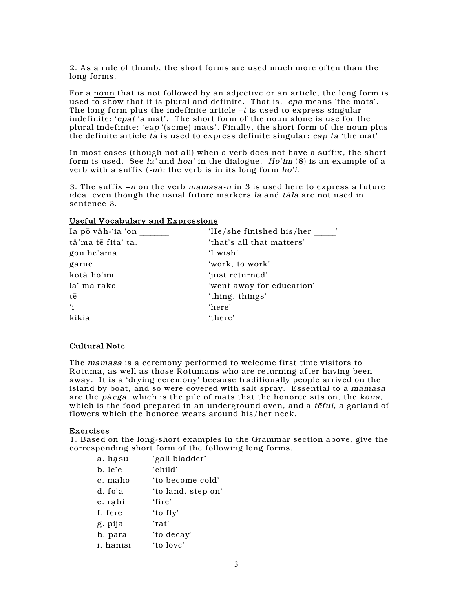2. As a rule of thumb, the short forms are used much more often than the long forms.

For a noun that is not followed by an adjective or an article, the long form is used to show that it is plural and definite. That is, 'epa means 'the mats'. The long form plus the indefinite article  $-t$  is used to express singular indefinite: 'epat 'a mat'. The short form of the noun alone is use for the plural indefinite: 'eap '(some) mats'. Finally, the short form of the noun plus the definite article ta is used to express definite singular: eap ta 'the mat'

In most cases (though not all) when a verb does not have a suffix, the short form is used. See  $Ia'$  and hoa' in the dialogue. Ho'im  $(8)$  is an example of a verb with a suffix  $(-m)$ ; the verb is in its long form ho'i.

3. The suffix –n on the verb mamasa-n in 3 is used here to express a future idea, even though the usual future markers la and täla are not used in sentence 3.

# Useful Vocabulary and Expressions

| Ia pō vàh-'ia 'on  | ,<br>'He/she finished his/her |
|--------------------|-------------------------------|
| tä'ma tē fita' ta. | 'that's all that matters'     |
| gou he'ama         | 'I wish'                      |
| garue              | 'work, to work'               |
| kotä ho'im         | 'just returned'               |
| la' ma rako        | 'went away for education'     |
| tē                 | 'thing, things'               |
| $\mathbf{a}$       | 'here'                        |
| kikia              | 'there'                       |

# Cultural Note

The mamasa is a ceremony performed to welcome first time visitors to Rotuma, as well as those Rotumans who are returning after having been away. It is a 'drying ceremony' because traditionally people arrived on the island by boat, and so were covered with salt spray. Essential to a mamasa are the päega, which is the pile of mats that the honoree sits on, the koua, which is the food prepared in an underground oven, and a  $t\bar{e}f$ ui, a garland of flowers which the honoree wears around his/her neck.

## Exercises

1. Based on the long-short examples in the Grammar section above, give the corresponding short form of the following long forms.

| a. hasu           | 'gall bladder'     |
|-------------------|--------------------|
| b. le'e           | 'child'            |
| c. maho           | 'to become cold'   |
| d. fo'a           | 'to land, step on' |
| e. rahi           | 'fire'             |
| f. fere           | 'to fly'           |
| g. pija           | 'rat'              |
| h. para           | 'to decay'         |
| <i>i</i> . hanisi | 'to love'          |